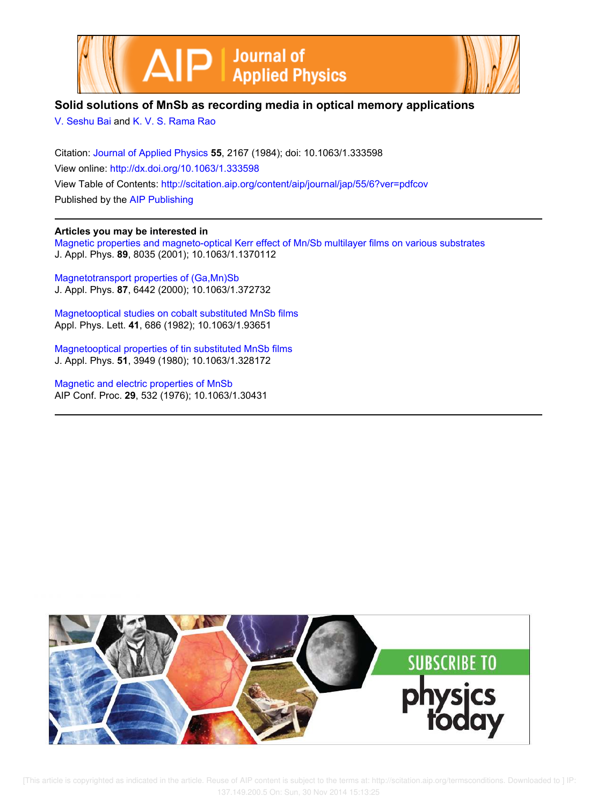



# **Solid solutions of MnSb as recording media in optical memory applications**

V. Seshu Bai and K. V. S. Rama Rao

Citation: Journal of Applied Physics **55**, 2167 (1984); doi: 10.1063/1.333598 View online: http://dx.doi.org/10.1063/1.333598 View Table of Contents: http://scitation.aip.org/content/aip/journal/jap/55/6?ver=pdfcov Published by the AIP Publishing

## **Articles you may be interested in**

Magnetic properties and magneto-optical Kerr effect of Mn/Sb multilayer films on various substrates J. Appl. Phys. **89**, 8035 (2001); 10.1063/1.1370112

Magnetotransport properties of (Ga,Mn)Sb J. Appl. Phys. **87**, 6442 (2000); 10.1063/1.372732

Magnetooptical studies on cobalt substituted MnSb films Appl. Phys. Lett. **41**, 686 (1982); 10.1063/1.93651

Magnetooptical properties of tin substituted MnSb films J. Appl. Phys. **51**, 3949 (1980); 10.1063/1.328172

Magnetic and electric properties of MnSb AIP Conf. Proc. **29**, 532 (1976); 10.1063/1.30431

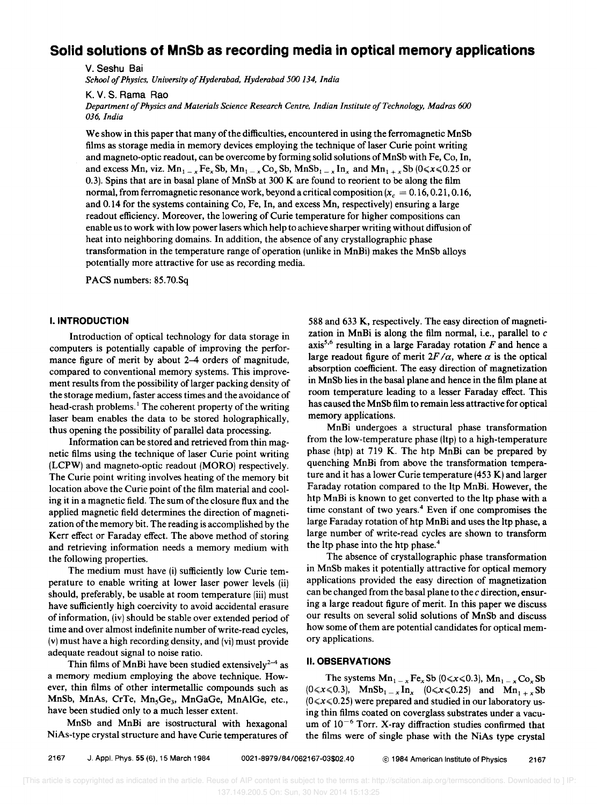# **Solid solutions of MnSb as recording media in optical memory applications**

v. Seshu Bai

*School 0/ Physics, University 0/ Hyderabad, Hyderabad 500* 134, *India* 

K. V. S. Rama Rao

*Department 0/ Physics and Materials Science Research Centre, Indian Institute a/Technology, Madras 600 036, India* 

We show in this paper that many of the difficulties, encountered in using the ferromagnetic MnSb films as storage media in memory devices employing the technique of laser Curie point writing and magneto-optic readout, can be overcome by forming solid solutions of MnSb with Fe, Co, In, and excess Mn, viz.  $Mn_{1-x}F_{2x}Sb$ ,  $Mn_{1-x}Co_xSb$ ,  $MnSb_{1-x}In_x$  and  $Mn_{1+x}Sb$  (0 $\le x \le 0.25$  or 0.3). Spins that are in basal plane of MnSb at 300 K are found to reorient to be along the film normal, from ferromagnetic resonance work, beyond a critical composition  $(x_c = 0.16, 0.21, 0.16,$ and 0.14 for the systems containing Co, Fe, In, and excess Mn, respectively) ensuring a large readout efficiency. Moreover, the lowering of Curie temperature for higher compositions can enable us to work with low power lasers which help to achieve sharper writing without diffusion of heat into neighboring domains. In addition, the absence of any crystallographic phase transformation in the temperature range of operation (unlike in MnBi) makes the MnSb alloys potentially more attractive for use as recording media.

PACS numbers: 85.70.Sq

### I. **INTRODUCTION**

Introduction of optical technology for data storage in computers is potentially capable of improving the performance figure of merit by about 2–4 orders of magnitude, compared to conventional memory systems. This improvement results from the possibility of larger packing density of the storage medium, faster access times and the avoidance of head-crash problems.<sup>1</sup> The coherent property of the writing laser beam enables the data to be stored holographically, thus opening the possibility of parallel data processing.

Information can be stored and retrieved from thin magnetic films using the technique of laser Curie point writing (LCPW) and magneto-optic readout (MORO) respectively. The Curie point writing involves heating of the memory bit location above the Curie point of the film material and cooling it in a magnetic field. The sum of the closure flux and the applied magnetic field determines the direction of magnetization of the memory bit. The reading is accomplished by the Kerr effect or Faraday effect. The above method of storing and retrieving information needs a memory medium with the following properties.

The medium must have (i) sufficiently low Curie temperature to enable writing at lower laser power levels (ii) should, preferably, be usable at room temperature (iii) must have sufficiently high coercivity to avoid accidental erasure of information, (iv) should be stable over extended period of time and over almost indefinite number of write-read cycles, (v) must have a high recording density, and (vi) must provide adequate readout signal to noise ratio.

Thin films of MnBi have been studied extensively<sup>2-4</sup> as a memory medium employing the above technique. However, thin films of other intermetallic compounds such as MnSb, MnAs, CrTe, Mn<sub>5</sub>Ge<sub>3</sub>, MnGaGe, MnAlGe, etc., have been studied only to a much lesser extent.

MnSb and MnBi are isostructural with hexagonal NiAs-type crystal structure and have Curie temperatures of 588 and 633 K, respectively. The easy direction of magnetization in MnBi is along the film normal, i.e., parallel to *c*  axis<sup>5,6</sup> resulting in a large Faraday rotation  $F$  and hence a large readout figure of merit  $2F/\alpha$ , where  $\alpha$  is the optical absorption coefficient. The easy direction of magnetization in MnSb lies in the basal plane and hence in the film plane at room temperature leading to a lesser Faraday effect. This has caused the MnSb film to remain less attractive for optical memory applications.

MnBi undergoes a structural phase transformation from the low-temperature phase (ltp) to a high-temperature phase (htp) at 719 K. The htp MnBi can be prepared by quenching MnBi from above the transformation temperature and it has a lower Curie temperature (453 K) and larger Faraday rotation compared to the ltp MnBi. However, the htp MnBi is known to get converted to the ltp phase with a time constant of two years. $4$  Even if one compromises the large Faraday rotation of htp MnBi and uses the ltp phase, a large number of write-read cycles are shown to transform the ltp phase into the htp phase. <sup>4</sup>

The absence of crystallographic phase transformation in MnSb makes it potentially attractive for optical memory applications provided the easy direction of magnetization can be changed from the basal plane to the *c* direction, ensuring a large readout figure of merit. In this paper we discuss our results on several solid solutions of MnSb and discuss how some of them are potential candidates for optical memory applications.

#### II. **OBSERVATIONS**

The systems  $Mn_{1-x}Fe_xSb$  (0 $\ll x \ll 0.3$ ),  $Mn_{1-x}Co_xSb$  $(0 \le x \le 0.3)$ , MnSb<sub>1 - *x*</sub> In<sub>x</sub>  $(0 \le x \le 0.25)$  and Mn<sub>1+*x*</sub>Sb  $(0 \le x \le 0.25)$  were prepared and studied in our laboratory using thin films coated on coverglass substrates under a vacuum of  $10^{-6}$  Torr. X-ray diffraction studies confirmed that the films were of single phase with the NiAs type crystal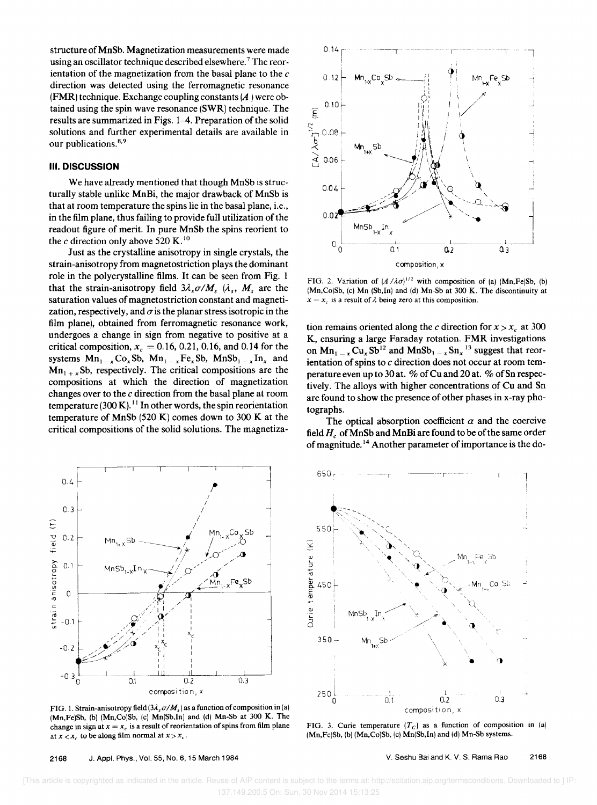structure of MnSb. Magnetization measurements were made using an oscillator technique described elsewhere.<sup>7</sup> The reorientation of the magnetization from the basal plane to the *c*  direction was detected using the ferromagnetic resonance (FMR) technique. Exchange coupling constants  $(A)$  were obtained using the spin wave resonance (SWR) technique. The results are summarized in Figs. 1-4. Preparation of the solid solutions and further experimental details are available in our publications.<sup>8,9</sup>

### **III. DISCUSSION**

We have already mentioned that though MnSb is structurally stable unlike MnBi, the major drawback of MnSb is that at room temperature the spins lie in the basal plane, i.e., in the film plane, thus failing to provide full utilization of the readout figure of merit. In pure MnSb the spins reorient to the *c* direction only above 520 K.<sup>10</sup>

Just as the crystalline anisotropy in single crystals, the strain-anisotropy from magnetostriction plays the dominant role in the polycrystalline films. It can be seen from Fig. 1 that the strain-anisotropy field  $3\lambda_s \sigma / M_s$ ,  $\lambda_s$ ,  $M_s$  are the saturation values of magnetostriction constant and magnetization, respectively, and  $\sigma$  is the planar stress isotropic in the film plane), obtained from ferromagnetic resonance work, undergoes a change in sign from negative to positive at a critical composition,  $x_c = 0.16, 0.21, 0.16,$  and 0.14 for the systems  $Mn_{1-x}Co_xSb$ ,  $Mn_{1-x}Fe_xSb$ ,  $MnSb_{1-x}In_x$  and  $Mn_{1+x}$ Sb, respectively. The critical compositions are the compositions at which the direction of magnetization changes over to the c direction from the basal plane at room temperature  $(300 \text{ K})$ .<sup>11</sup> In other words, the spin reorientation temperature of MnSb (520 K) comes down to 300 K at the critical compositions of the solid solutions. The magnetiza-



FIG. 1. Strain-anisotropy field  $(3\lambda, \sigma/M_s)$  as a function of composition in (a) (Mn,Fe)Sb, (b) (Mn,Co)Sb, (c) Mn(Sb,In) and (d) Mn-Sb at 300 K. The change in sign at  $x = x_c$  is a result of reorientation of spins from film plane at  $x < x_c$  to be along film normal at  $x > x_c$ .



FIG. 2. Variation of  $(A/\lambda \sigma)^{1/2}$  with composition of (a) (Mn,Fe)Sb, (b) (Mn,Co)Sb, (c) Mn (Sb,In) and (d) Mn-Sb at 300 K. The discontinuity at  $x = x_c$  is a result of  $\lambda$  being zero at this composition.

tion remains oriented along the c direction for  $x > x_c$  at 300 K, ensuring a large Faraday rotation. FMR investigations on  $Mn_1$ <sub> $-x$ </sub> Cu<sub>x</sub> Sb<sup>12</sup> and  $MnSb_1$ <sub> $-x$ </sub> Sn<sub>x</sub><sup>13</sup> suggest that reorientation of spins to  $c$  direction does not occur at room temperature even up to 30 at. % of Cu and 20 at. % of Sn respectively. The alloys with higher concentrations of Cu and Sn are found to show the presence of other phases in x-ray photographs.

The optical absorption coefficient  $\alpha$  and the coercive field  $H_c$  of MnSb and MnBi are found to be of the same order of magnitude.<sup>14</sup> Another parameter of importance is the do-



FIG. 3. Curie temperature  $(T<sub>C</sub>)$  as a function of composition in (a) (Mn,Fe)Sb, (b) (Mn,Co)Sb, (c) Mn(Sb,In) and (d) Mn-Sb systems.